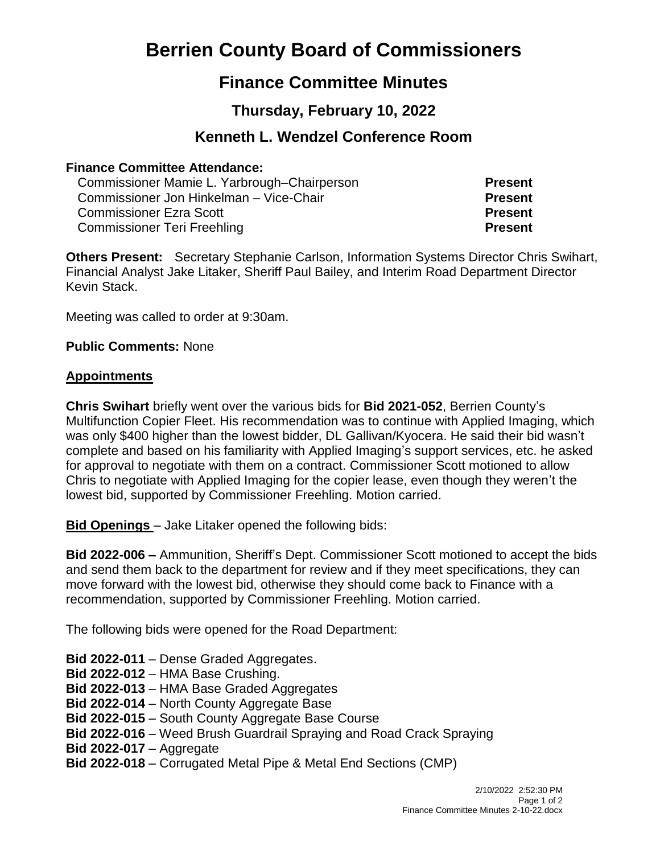# **Berrien County Board of Commissioners**

## **Finance Committee Minutes**

## **Thursday, February 10, 2022**

## **Kenneth L. Wendzel Conference Room**

#### **Finance Committee Attendance:**

Commissioner Mamie L. Yarbrough–Chairperson **Present** Commissioner Jon Hinkelman – Vice-Chair **Present** Commissioner Ezra Scott **Present** Commissioner Teri Freehling **Present**

**Others Present:** Secretary Stephanie Carlson, Information Systems Director Chris Swihart, Financial Analyst Jake Litaker, Sheriff Paul Bailey, and Interim Road Department Director Kevin Stack.

Meeting was called to order at 9:30am.

**Public Comments:** None

#### **Appointments**

**Chris Swihart** briefly went over the various bids for **Bid 2021-052**, Berrien County's Multifunction Copier Fleet. His recommendation was to continue with Applied Imaging, which was only \$400 higher than the lowest bidder, DL Gallivan/Kyocera. He said their bid wasn't complete and based on his familiarity with Applied Imaging's support services, etc. he asked for approval to negotiate with them on a contract. Commissioner Scott motioned to allow Chris to negotiate with Applied Imaging for the copier lease, even though they weren't the lowest bid, supported by Commissioner Freehling. Motion carried.

**Bid Openings** – Jake Litaker opened the following bids:

**Bid 2022-006 –** Ammunition, Sheriff's Dept. Commissioner Scott motioned to accept the bids and send them back to the department for review and if they meet specifications, they can move forward with the lowest bid, otherwise they should come back to Finance with a recommendation, supported by Commissioner Freehling. Motion carried.

The following bids were opened for the Road Department:

- **Bid 2022-011** Dense Graded Aggregates.
- **Bid 2022-012** HMA Base Crushing.
- **Bid 2022-013** HMA Base Graded Aggregates
- **Bid 2022-014** North County Aggregate Base
- **Bid 2022-015** South County Aggregate Base Course
- **Bid 2022-016** Weed Brush Guardrail Spraying and Road Crack Spraying
- **Bid 2022-017** Aggregate
- **Bid 2022-018** Corrugated Metal Pipe & Metal End Sections (CMP)